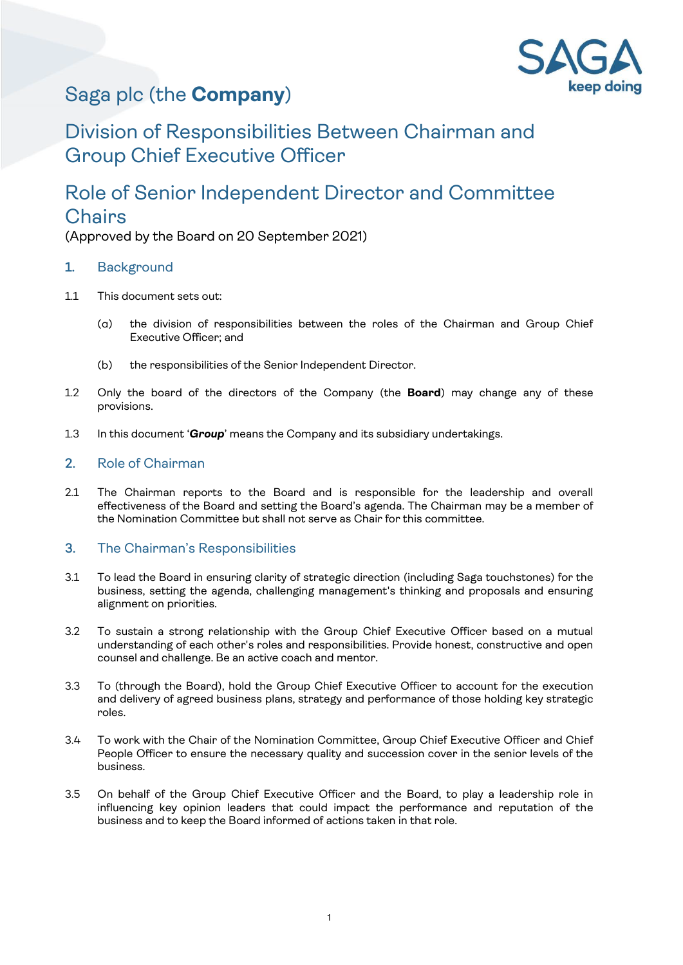

# Saga plc (the **Company**)

## Division of Responsibilities Between Chairman and Group Chief Executive Officer

## Role of Senior Independent Director and Committee **Chairs**

(Approved by the Board on 20 September 2021)

## 1. Background

- 1.1 This document sets out:
	- (a) the division of responsibilities between the roles of the Chairman and Group Chief Executive Officer; and
	- (b) the responsibilities of the Senior Independent Director.
- 1.2 Only the board of the directors of the Company (the **Board**) may change any of these provisions.
- 1.3 In this document '*Group*' means the Company and its subsidiary undertakings.

## 2. Role of Chairman

2.1 The Chairman reports to the Board and is responsible for the leadership and overall effectiveness of the Board and setting the Board's agenda. The Chairman may be a member of the Nomination Committee but shall not serve as Chair for this committee.

## 3. The Chairman's Responsibilities

- 3.1 To lead the Board in ensuring clarity of strategic direction (including Saga touchstones) for the business, setting the agenda, challenging management's thinking and proposals and ensuring alignment on priorities.
- 3.2 To sustain a strong relationship with the Group Chief Executive Officer based on a mutual understanding of each other's roles and responsibilities. Provide honest, constructive and open counsel and challenge. Be an active coach and mentor.
- 3.3 To (through the Board), hold the Group Chief Executive Officer to account for the execution and delivery of agreed business plans, strategy and performance of those holding key strategic roles.
- 3.4 To work with the Chair of the Nomination Committee, Group Chief Executive Officer and Chief People Officer to ensure the necessary quality and succession cover in the senior levels of the business.
- 3.5 On behalf of the Group Chief Executive Officer and the Board, to play a leadership role in influencing key opinion leaders that could impact the performance and reputation of the business and to keep the Board informed of actions taken in that role.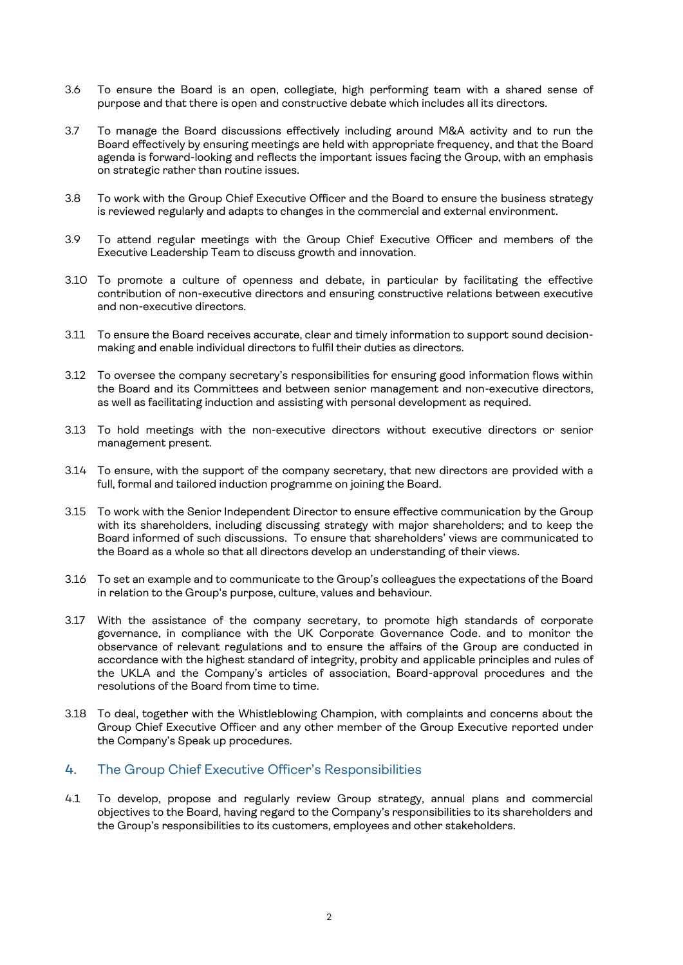- 3.6 To ensure the Board is an open, collegiate, high performing team with a shared sense of purpose and that there is open and constructive debate which includes all its directors.
- 3.7 To manage the Board discussions effectively including around M&A activity and to run the Board effectively by ensuring meetings are held with appropriate frequency, and that the Board agenda is forward-looking and reflects the important issues facing the Group, with an emphasis on strategic rather than routine issues.
- 3.8 To work with the Group Chief Executive Officer and the Board to ensure the business strategy is reviewed regularly and adapts to changes in the commercial and external environment.
- 3.9 To attend regular meetings with the Group Chief Executive Officer and members of the Executive Leadership Team to discuss growth and innovation.
- 3.10 To promote a culture of openness and debate, in particular by facilitating the effective contribution of non-executive directors and ensuring constructive relations between executive and non-executive directors.
- 3.11 To ensure the Board receives accurate, clear and timely information to support sound decisionmaking and enable individual directors to fulfil their duties as directors.
- 3.12 To oversee the company secretary's responsibilities for ensuring good information flows within the Board and its Committees and between senior management and non-executive directors, as well as facilitating induction and assisting with personal development as required.
- 3.13 To hold meetings with the non-executive directors without executive directors or senior management present.
- 3.14 To ensure, with the support of the company secretary, that new directors are provided with a full, formal and tailored induction programme on joining the Board.
- 3.15 To work with the Senior Independent Director to ensure effective communication by the Group with its shareholders, including discussing strategy with major shareholders; and to keep the Board informed of such discussions. To ensure that shareholders' views are communicated to the Board as a whole so that all directors develop an understanding of their views.
- 3.16 To set an example and to communicate to the Group's colleagues the expectations of the Board in relation to the Group's purpose, culture, values and behaviour.
- 3.17 With the assistance of the company secretary, to promote high standards of corporate governance, in compliance with the UK Corporate Governance Code. and to monitor the observance of relevant regulations and to ensure the affairs of the Group are conducted in accordance with the highest standard of integrity, probity and applicable principles and rules of the UKLA and the Company's articles of association, Board-approval procedures and the resolutions of the Board from time to time.
- 3.18 To deal, together with the Whistleblowing Champion, with complaints and concerns about the Group Chief Executive Officer and any other member of the Group Executive reported under the Company's Speak up procedures.

#### 4. The Group Chief Executive Officer's Responsibilities

4.1 To develop, propose and regularly review Group strategy, annual plans and commercial objectives to the Board, having regard to the Company's responsibilities to its shareholders and the Group's responsibilities to its customers, employees and other stakeholders.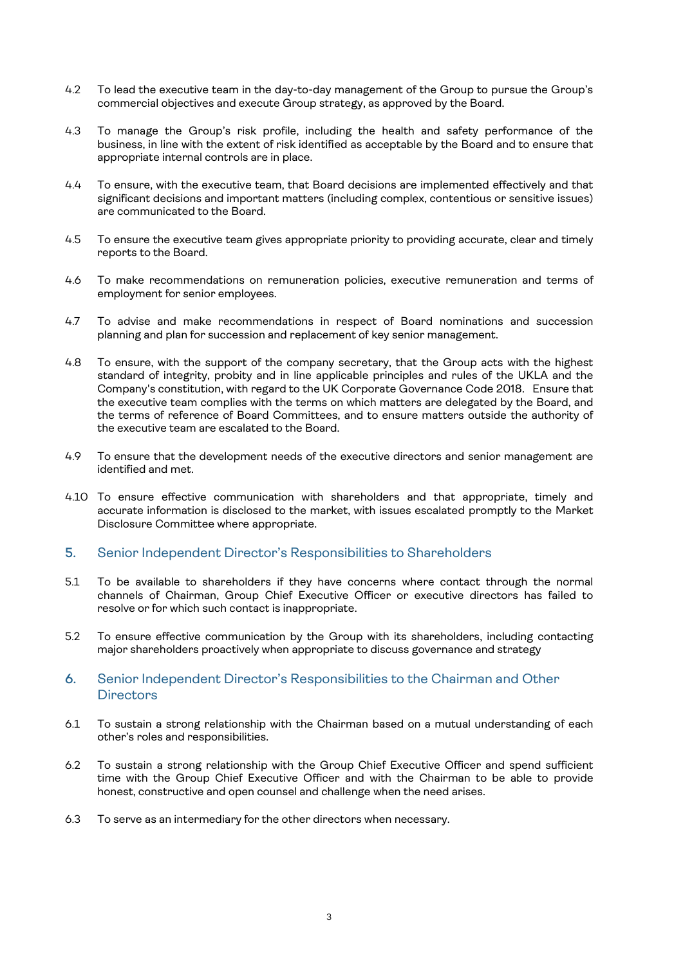- 4.2 To lead the executive team in the day-to-day management of the Group to pursue the Group's commercial objectives and execute Group strategy, as approved by the Board.
- 4.3 To manage the Group's risk profile, including the health and safety performance of the business, in line with the extent of risk identified as acceptable by the Board and to ensure that appropriate internal controls are in place.
- 4.4 To ensure, with the executive team, that Board decisions are implemented effectively and that significant decisions and important matters (including complex, contentious or sensitive issues) are communicated to the Board.
- 4.5 To ensure the executive team gives appropriate priority to providing accurate, clear and timely reports to the Board.
- 4.6 To make recommendations on remuneration policies, executive remuneration and terms of employment for senior employees.
- 4.7 To advise and make recommendations in respect of Board nominations and succession planning and plan for succession and replacement of key senior management.
- 4.8 To ensure, with the support of the company secretary, that the Group acts with the highest standard of integrity, probity and in line applicable principles and rules of the UKLA and the Company's constitution, with regard to the UK Corporate Governance Code 2018. Ensure that the executive team complies with the terms on which matters are delegated by the Board, and the terms of reference of Board Committees, and to ensure matters outside the authority of the executive team are escalated to the Board.
- 4.9 To ensure that the development needs of the executive directors and senior management are identified and met.
- 4.10 To ensure effective communication with shareholders and that appropriate, timely and accurate information is disclosed to the market, with issues escalated promptly to the Market Disclosure Committee where appropriate.

#### 5. Senior Independent Director's Responsibilities to Shareholders

- 5.1 To be available to shareholders if they have concerns where contact through the normal channels of Chairman, Group Chief Executive Officer or executive directors has failed to resolve or for which such contact is inappropriate.
- 5.2 To ensure effective communication by the Group with its shareholders, including contacting major shareholders proactively when appropriate to discuss governance and strategy

## 6. Senior Independent Director's Responsibilities to the Chairman and Other **Directors**

- 6.1 To sustain a strong relationship with the Chairman based on a mutual understanding of each other's roles and responsibilities.
- 6.2 To sustain a strong relationship with the Group Chief Executive Officer and spend sufficient time with the Group Chief Executive Officer and with the Chairman to be able to provide honest, constructive and open counsel and challenge when the need arises.
- 6.3 To serve as an intermediary for the other directors when necessary.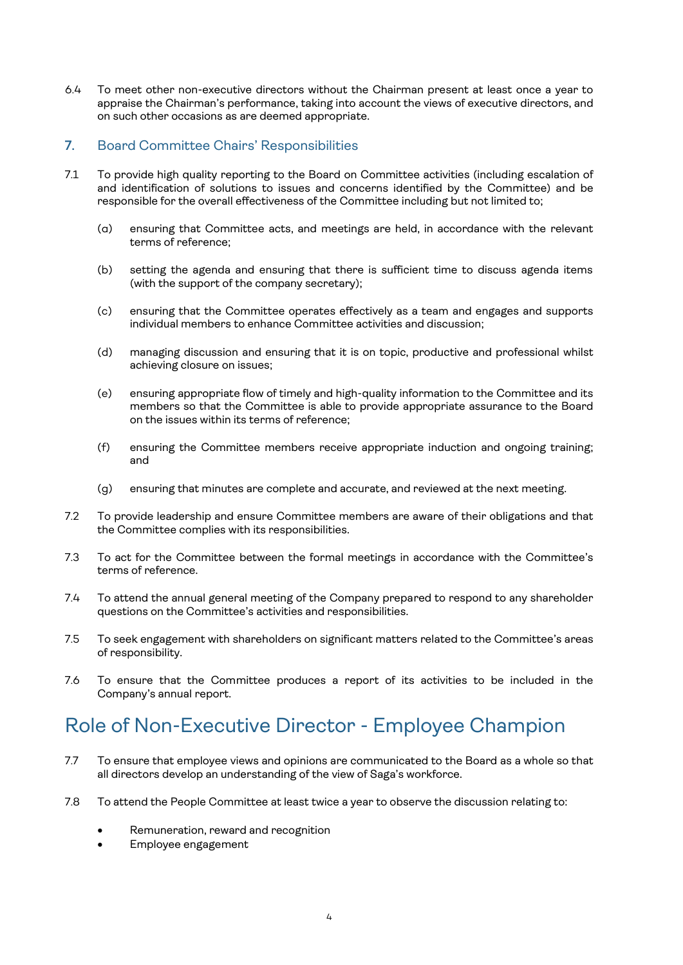6.4 To meet other non-executive directors without the Chairman present at least once a year to appraise the Chairman's performance, taking into account the views of executive directors, and on such other occasions as are deemed appropriate.

## 7. Board Committee Chairs' Responsibilities

- 7.1 To provide high quality reporting to the Board on Committee activities (including escalation of and identification of solutions to issues and concerns identified by the Committee) and be responsible for the overall effectiveness of the Committee including but not limited to;
	- (a) ensuring that Committee acts, and meetings are held, in accordance with the relevant terms of reference;
	- (b) setting the agenda and ensuring that there is sufficient time to discuss agenda items (with the support of the company secretary);
	- (c) ensuring that the Committee operates effectively as a team and engages and supports individual members to enhance Committee activities and discussion;
	- (d) managing discussion and ensuring that it is on topic, productive and professional whilst achieving closure on issues;
	- (e) ensuring appropriate flow of timely and high-quality information to the Committee and its members so that the Committee is able to provide appropriate assurance to the Board on the issues within its terms of reference;
	- (f) ensuring the Committee members receive appropriate induction and ongoing training; and
	- (g) ensuring that minutes are complete and accurate, and reviewed at the next meeting.
- 7.2 To provide leadership and ensure Committee members are aware of their obligations and that the Committee complies with its responsibilities.
- 7.3 To act for the Committee between the formal meetings in accordance with the Committee's terms of reference.
- 7.4 To attend the annual general meeting of the Company prepared to respond to any shareholder questions on the Committee's activities and responsibilities.
- 7.5 To seek engagement with shareholders on significant matters related to the Committee's areas of responsibility.
- 7.6 To ensure that the Committee produces a report of its activities to be included in the Company's annual report.

## Role of Non-Executive Director - Employee Champion

- 7.7 To ensure that employee views and opinions are communicated to the Board as a whole so that all directors develop an understanding of the view of Saga's workforce.
- 7.8 To attend the People Committee at least twice a year to observe the discussion relating to:
	- Remuneration, reward and recognition
	- Employee engagement